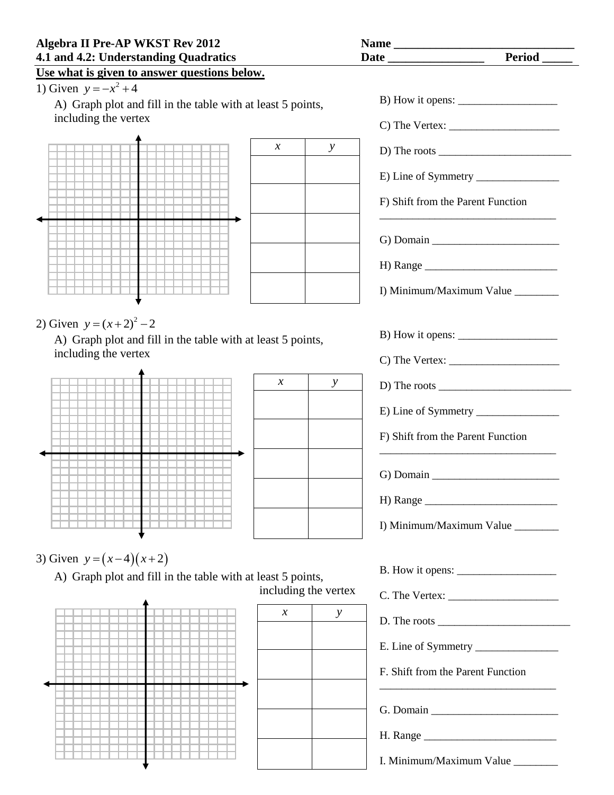## **Algebra II Pre-AP WKST Rev 2012 Name \_\_\_\_\_\_\_\_\_\_\_\_\_\_\_\_\_\_\_\_\_\_\_\_\_\_\_\_\_\_ 4.1 and 4.2: Understanding Quadratics Date Date Like Like**  $\alpha$

## **Use what is given to answer questions below.**

1) Given  $y = -x^2 + 4$ 

A) Graph plot and fill in the table with at least 5 points, including the vertex



2) Given  $y = (x+2)^2 - 2$ 

A) Graph plot and fill in the table with at least 5 points, including the vertex



| $\boldsymbol{\chi}$ | $\mathcal{Y}$ |
|---------------------|---------------|
|                     |               |
|                     |               |
|                     |               |
|                     |               |
|                     |               |

3) Given  $y = (x-4)(x+2)$ 

A) Graph plot and fill in the table with at least 5 points, including the vertex



| $\boldsymbol{\chi}$ | y |
|---------------------|---|
|                     |   |
|                     |   |
|                     |   |
|                     |   |
|                     |   |

| ıte                                                                                                                            |
|--------------------------------------------------------------------------------------------------------------------------------|
|                                                                                                                                |
|                                                                                                                                |
|                                                                                                                                |
| D) The roots $\frac{1}{\sqrt{1-\frac{1}{2}}\sqrt{1-\frac{1}{2}}\sqrt{1-\frac{1}{2}}\sqrt{1-\frac{1}{2}}\sqrt{1-\frac{1}{2}}}}$ |
|                                                                                                                                |
| F) Shift from the Parent Function                                                                                              |
|                                                                                                                                |
|                                                                                                                                |
|                                                                                                                                |
| I) Minimum/Maximum Value ________                                                                                              |
|                                                                                                                                |
| B) How it opens: $\frac{1}{1}$                                                                                                 |
|                                                                                                                                |
|                                                                                                                                |
|                                                                                                                                |
| F) Shift from the Parent Function                                                                                              |
|                                                                                                                                |
| G) Domain $\qquad \qquad$                                                                                                      |
| H) Range                                                                                                                       |
| I) Minimum/Maximum Value ________                                                                                              |
|                                                                                                                                |
|                                                                                                                                |
|                                                                                                                                |
|                                                                                                                                |
|                                                                                                                                |
| F. Shift from the Parent Function                                                                                              |
|                                                                                                                                |
|                                                                                                                                |
| I. Minimum/Maximum Value _______                                                                                               |
|                                                                                                                                |